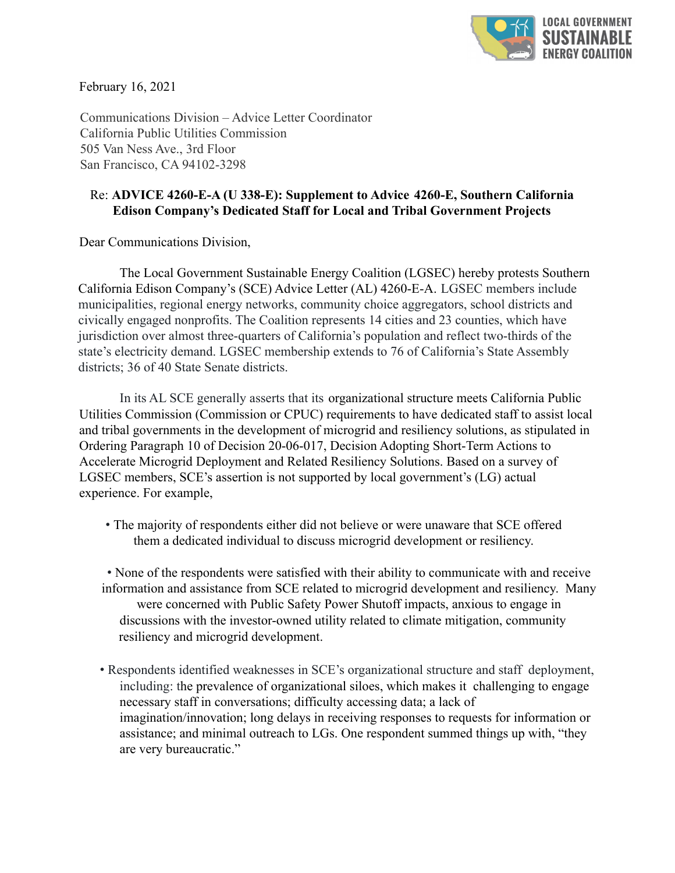

February 16, 2021

Communications Division – Advice Letter Coordinator California Public Utilities Commission 505 Van Ness Ave., 3rd Floor San Francisco, CA 94102-3298

## Re: **ADVICE 4260-E-A (U 338-E): Supplement to Advice 4260-E, Southern California Edison Company's Dedicated Staff for Local and Tribal Government Projects**

Dear Communications Division,

The Local Government Sustainable Energy Coalition (LGSEC) hereby protests Southern California Edison Company's (SCE) Advice Letter (AL) 4260-E-A. LGSEC members include municipalities, regional energy networks, community choice aggregators, school districts and civically engaged nonprofits. The Coalition represents 14 cities and 23 counties, which have jurisdiction over almost three-quarters of California's population and reflect two-thirds of the state's electricity demand. LGSEC membership extends to 76 of California's State Assembly districts; 36 of 40 State Senate districts.

In its AL SCE generally asserts that its organizational structure meets California Public Utilities Commission (Commission or CPUC) requirements to have dedicated staff to assist local and tribal governments in the development of microgrid and resiliency solutions, as stipulated in Ordering Paragraph 10 of Decision 20-06-017, Decision Adopting Short-Term Actions to Accelerate Microgrid Deployment and Related Resiliency Solutions. Based on a survey of LGSEC members, SCE's assertion is not supported by local government's (LG) actual experience. For example,

• The majority of respondents either did not believe or were unaware that SCE offered them a dedicated individual to discuss microgrid development or resiliency.

• None of the respondents were satisfied with their ability to communicate with and receive information and assistance from SCE related to microgrid development and resiliency. Many were concerned with Public Safety Power Shutoff impacts, anxious to engage in discussions with the investor-owned utility related to climate mitigation, community resiliency and microgrid development.

• Respondents identified weaknesses in SCE's organizational structure and staff deployment, including: the prevalence of organizational siloes, which makes it challenging to engage necessary staff in conversations; difficulty accessing data; a lack of imagination/innovation; long delays in receiving responses to requests for information or assistance; and minimal outreach to LGs. One respondent summed things up with, "they are very bureaucratic."